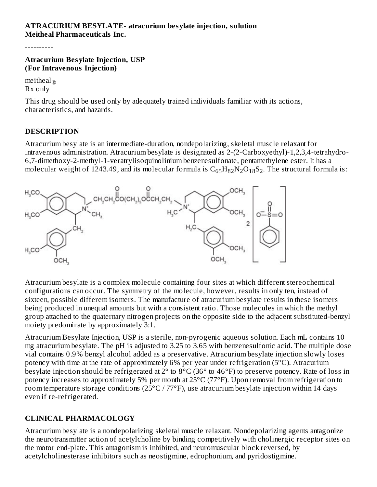#### **ATRACURIUM BESYLATE- atracurium besylate injection, solution Meitheal Pharmaceuticals Inc.**

----------

#### **Atracurium Besylate Injection, USP (For Intravenous Injection)**

meitheal ® Rx only

This drug should be used only by adequately trained individuals familiar with its actions, characteristics, and hazards.

#### **DESCRIPTION**

Atracurium besylate is an intermediate-duration, nondepolarizing, skeletal muscle relaxant for intravenous administration. Atracurium besylate is designated as 2-(2-Carboxyethyl)-1,2,3,4-tetrahydro-6,7-dimethoxy-2-methyl-1-veratrylisoquinolinium benzenesulfonate, pentamethylene ester. It has a molecular weight of 1243.49, and its molecular formula is  $\rm C_{65}H_{82}N_2O_{18}S_2.$  The structural formula is:



Atracurium besylate is a complex molecule containing four sites at which different stereochemical configurations can occur. The symmetry of the molecule, however, results in only ten, instead of sixteen, possible different isomers. The manufacture of atracurium besylate results in these isomers being produced in unequal amounts but with a consistent ratio. Those molecules in which the methyl group attached to the quaternary nitrogen projects on the opposite side to the adjacent substituted-benzyl moiety predominate by approximately 3:1.

Atracurium Besylate Injection, USP is a sterile, non-pyrogenic aqueous solution. Each mL contains 10 mg atracurium besylate. The pH is adjusted to 3.25 to 3.65 with benzenesulfonic acid. The multiple dose vial contains 0.9% benzyl alcohol added as a preservative. Atracurium besylate injection slowly loses potency with time at the rate of approximately 6% per year under refrigeration (5°C). Atracurium besylate injection should be refrigerated at 2° to 8°C (36° to 46°F) to preserve potency. Rate of loss in potency increases to approximately 5% per month at 25°C (77°F). Upon removal from refrigeration to room temperature storage conditions (25 $^{\circ}$ C / 77 $^{\circ}$ F), use atracurium besylate injection within 14 days even if re-refrigerated.

#### **CLINICAL PHARMACOLOGY**

Atracurium besylate is a nondepolarizing skeletal muscle relaxant. Nondepolarizing agents antagonize the neurotransmitter action of acetylcholine by binding competitively with cholinergic receptor sites on the motor end-plate. This antagonism is inhibited, and neuromuscular block reversed, by acetylcholinesterase inhibitors such as neostigmine, edrophonium, and pyridostigmine.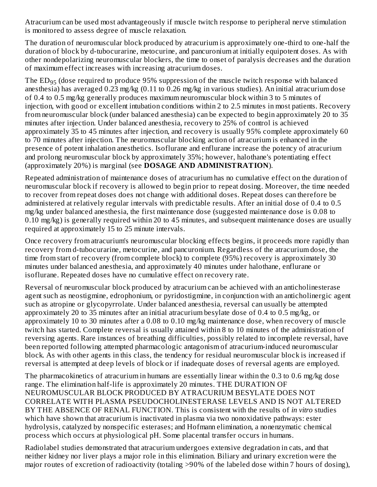Atracurium can be used most advantageously if muscle twitch response to peripheral nerve stimulation is monitored to assess degree of muscle relaxation.

The duration of neuromuscular block produced by atracurium is approximately one-third to one-half the duration of block by d-tubocurarine, metocurine, and pancuronium at initially equipotent doses. As with other nondepolarizing neuromuscular blockers, the time to onset of paralysis decreases and the duration of maximum effect increases with increasing atracurium doses.

The  $ED_{95}$  (dose required to produce 95% suppression of the muscle twitch response with balanced anesthesia) has averaged 0.23 mg/kg (0.11 to 0.26 mg/kg in various studies). An initial atracurium dose of 0.4 to 0.5 mg/kg generally produces maximum neuromuscular block within 3 to 5 minutes of injection, with good or excellent intubation conditions within 2 to 2.5 minutes in most patients. Recovery from neuromuscular block (under balanced anesthesia) can be expected to begin approximately 20 to 35 minutes after injection. Under balanced anesthesia, recovery to 25% of control is achieved approximately 35 to 45 minutes after injection, and recovery is usually 95% complete approximately 60 to 70 minutes after injection. The neuromuscular blocking action of atracurium is enhanced in the presence of potent inhalation anesthetics. Isoflurane and enflurane increase the potency of atracurium and prolong neuromuscular block by approximately 35%; however, halothane's potentiating effect (approximately 20%) is marginal (see **DOSAGE AND ADMINISTRATION**).

Repeated administration of maintenance doses of atracurium has no cumulative effect on the duration of neuromuscular block if recovery is allowed to begin prior to repeat dosing. Moreover, the time needed to recover from repeat doses does not change with additional doses. Repeat doses can therefore be administered at relatively regular intervals with predictable results. After an initial dose of 0.4 to 0.5 mg/kg under balanced anesthesia, the first maintenance dose (suggested maintenance dose is 0.08 to 0.10 mg/kg) is generally required within 20 to 45 minutes, and subsequent maintenance doses are usually required at approximately 15 to 25 minute intervals.

Once recovery from atracurium's neuromuscular blocking effects begins, it proceeds more rapidly than recovery from d-tubocurarine, metocurine, and pancuronium. Regardless of the atracurium dose, the time from start of recovery (from complete block) to complete (95%) recovery is approximately 30 minutes under balanced anesthesia, and approximately 40 minutes under halothane, enflurane or isoflurane. Repeated doses have no cumulative effect on recovery rate.

Reversal of neuromuscular block produced by atracurium can be achieved with an anticholinesterase agent such as neostigmine, edrophonium, or pyridostigmine, in conjunction with an anticholinergic agent such as atropine or glycopyrrolate. Under balanced anesthesia, reversal can usually be attempted approximately 20 to 35 minutes after an initial atracurium besylate dose of 0.4 to 0.5 mg/kg, or approximately 10 to 30 minutes after a 0.08 to 0.10 mg/kg maintenance dose, when recovery of muscle twitch has started. Complete reversal is usually attained within 8 to 10 minutes of the administration of reversing agents. Rare instances of breathing difficulties, possibly related to incomplete reversal, have been reported following attempted pharmacologic antagonism of atracurium-induced neuromuscular block. As with other agents in this class, the tendency for residual neuromuscular block is increased if reversal is attempted at deep levels of block or if inadequate doses of reversal agents are employed.

The pharmacokinetics of atracurium in humans are essentially linear within the 0.3 to 0.6 mg/kg dose range. The elimination half-life is approximately 20 minutes. THE DURATION OF NEUROMUSCULAR BLOCK PRODUCED BY ATRACURIUM BESYLATE DOES NOT CORRELATE WITH PLASMA PSEUDOCHOLINESTERASE LEVELS AND IS NOT ALTERED BY THE ABSENCE OF RENAL FUNCTION. This is consistent with the results of *in vitro* studies which have shown that atracurium is inactivated in plasma via two nonoxidative pathways: ester hydrolysis, catalyzed by nonspecific esterases; and Hofmann elimination, a nonenzymatic chemical process which occurs at physiological pH. Some placental transfer occurs in humans.

Radiolabel studies demonstrated that atracurium undergoes extensive degradation in cats, and that neither kidney nor liver plays a major role in this elimination. Biliary and urinary excretion were the major routes of excretion of radioactivity (totaling >90% of the labeled dose within 7 hours of dosing),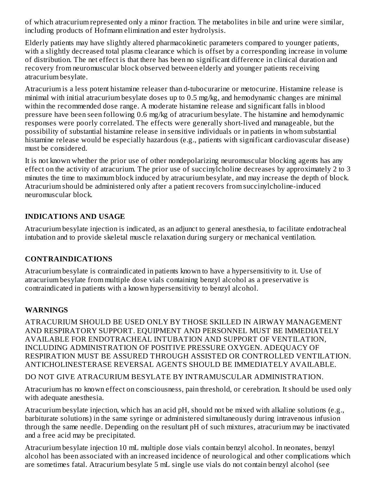of which atracurium represented only a minor fraction. The metabolites in bile and urine were similar, including products of Hofmann elimination and ester hydrolysis.

Elderly patients may have slightly altered pharmacokinetic parameters compared to younger patients, with a slightly decreased total plasma clearance which is offset by a corresponding increase in volume of distribution. The net effect is that there has been no significant difference in clinical duration and recovery from neuromuscular block observed between elderly and younger patients receiving atracurium besylate.

Atracurium is a less potent histamine releaser than d-tubocurarine or metocurine. Histamine release is minimal with initial atracurium besylate doses up to 0.5 mg/kg, and hemodynamic changes are minimal within the recommended dose range. A moderate histamine release and significant falls in blood pressure have been seen following 0.6 mg/kg of atracurium besylate. The histamine and hemodynamic responses were poorly correlated. The effects were generally short-lived and manageable, but the possibility of substantial histamine release in sensitive individuals or in patients in whom substantial histamine release would be especially hazardous (e.g., patients with significant cardiovascular disease) must be considered.

It is not known whether the prior use of other nondepolarizing neuromuscular blocking agents has any effect on the activity of atracurium. The prior use of succinylcholine decreases by approximately 2 to 3 minutes the time to maximum block induced by atracurium besylate, and may increase the depth of block. Atracurium should be administered only after a patient recovers from succinylcholine-induced neuromuscular block.

### **INDICATIONS AND USAGE**

Atracurium besylate injection is indicated, as an adjunct to general anesthesia, to facilitate endotracheal intubation and to provide skeletal muscle relaxation during surgery or mechanical ventilation.

### **CONTRAINDICATIONS**

Atracurium besylate is contraindicated in patients known to have a hypersensitivity to it. Use of atracurium besylate from multiple dose vials containing benzyl alcohol as a preservative is contraindicated in patients with a known hypersensitivity to benzyl alcohol.

### **WARNINGS**

ATRACURIUM SHOULD BE USED ONLY BY THOSE SKILLED IN AIRWAY MANAGEMENT AND RESPIRATORY SUPPORT. EQUIPMENT AND PERSONNEL MUST BE IMMEDIATELY AVAILABLE FOR ENDOTRACHEAL INTUBATION AND SUPPORT OF VENTILATION, INCLUDING ADMINISTRATION OF POSITIVE PRESSURE OXYGEN. ADEQUACY OF RESPIRATION MUST BE ASSURED THROUGH ASSISTED OR CONTROLLED VENTILATION. ANTICHOLINESTERASE REVERSAL AGENTS SHOULD BE IMMEDIATELY AVAILABLE.

DO NOT GIVE ATRACURIUM BESYLATE BY INTRAMUSCULAR ADMINISTRATION.

Atracurium has no known effect on consciousness, pain threshold, or cerebration. It should be used only with adequate anesthesia.

Atracurium besylate injection, which has an acid pH, should not be mixed with alkaline solutions (e.g., barbiturate solutions) in the same syringe or administered simultaneously during intravenous infusion through the same needle. Depending on the resultant pH of such mixtures, atracurium may be inactivated and a free acid may be precipitated.

Atracurium besylate injection 10 mL multiple dose vials contain benzyl alcohol. In neonates, benzyl alcohol has been associated with an increased incidence of neurological and other complications which are sometimes fatal. Atracurium besylate 5 mL single use vials do not contain benzyl alcohol (see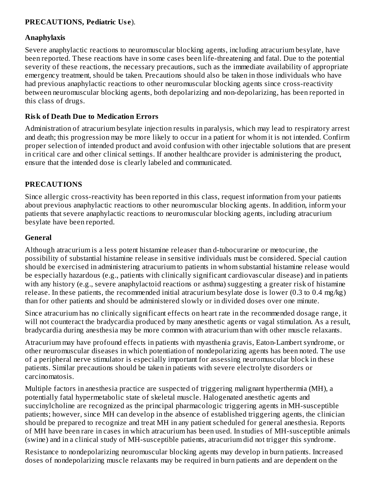### **PRECAUTIONS, Pediatric Us e**).

#### **Anaphylaxis**

Severe anaphylactic reactions to neuromuscular blocking agents, including atracurium besylate, have been reported. These reactions have in some cases been life-threatening and fatal. Due to the potential severity of these reactions, the necessary precautions, such as the immediate availability of appropriate emergency treatment, should be taken. Precautions should also be taken in those individuals who have had previous anaphylactic reactions to other neuromuscular blocking agents since cross-reactivity between neuromuscular blocking agents, both depolarizing and non-depolarizing, has been reported in this class of drugs.

#### **Risk of Death Due to Medication Errors**

Administration of atracurium besylate injection results in paralysis, which may lead to respiratory arrest and death; this progression may be more likely to occur in a patient for whom it is not intended. Confirm proper selection of intended product and avoid confusion with other injectable solutions that are present in critical care and other clinical settings. If another healthcare provider is administering the product, ensure that the intended dose is clearly labeled and communicated.

#### **PRECAUTIONS**

Since allergic cross-reactivity has been reported in this class, request information from your patients about previous anaphylactic reactions to other neuromuscular blocking agents. In addition, inform your patients that severe anaphylactic reactions to neuromuscular blocking agents, including atracurium besylate have been reported.

#### **General**

Although atracurium is a less potent histamine releaser than d-tubocurarine or metocurine, the possibility of substantial histamine release in sensitive individuals must be considered. Special caution should be exercised in administering atracurium to patients in whom substantial histamine release would be especially hazardous (e.g., patients with clinically significant cardiovascular disease) and in patients with any history (e.g., severe anaphylactoid reactions or asthma) suggesting a greater risk of histamine release. In these patients, the recommended initial atracurium besylate dose is lower (0.3 to 0.4 mg/kg) than for other patients and should be administered slowly or in divided doses over one minute.

Since atracurium has no clinically significant effects on heart rate in the recommended dosage range, it will not counteract the bradycardia produced by many anesthetic agents or vagal stimulation. As a result, bradycardia during anesthesia may be more common with atracurium than with other muscle relaxants.

Atracurium may have profound effects in patients with myasthenia gravis, Eaton-Lambert syndrome, or other neuromuscular diseases in which potentiation of nondepolarizing agents has been noted. The use of a peripheral nerve stimulator is especially important for assessing neuromuscular block in these patients. Similar precautions should be taken in patients with severe electrolyte disorders or carcinomatosis.

Multiple factors in anesthesia practice are suspected of triggering malignant hyperthermia (MH), a potentially fatal hypermetabolic state of skeletal muscle. Halogenated anesthetic agents and succinylcholine are recognized as the principal pharmacologic triggering agents in MH-susceptible patients; however, since MH can develop in the absence of established triggering agents, the clinician should be prepared to recognize and treat MH in any patient scheduled for general anesthesia. Reports of MH have been rare in cases in which atracurium has been used. In studies of MH-susceptible animals (swine) and in a clinical study of MH-susceptible patients, atracurium did not trigger this syndrome.

Resistance to nondepolarizing neuromuscular blocking agents may develop in burn patients. Increased doses of nondepolarizing muscle relaxants may be required in burn patients and are dependent on the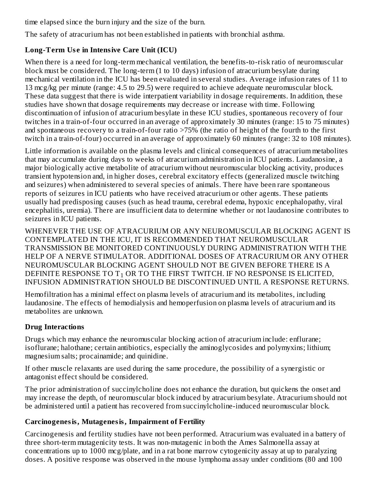time elapsed since the burn injury and the size of the burn.

The safety of atracurium has not been established in patients with bronchial asthma.

# **Long-Term Us e in Intensive Care Unit (ICU)**

When there is a need for long-term mechanical ventilation, the benefits-to-risk ratio of neuromuscular block must be considered. The long-term (1 to 10 days) infusion of atracurium besylate during mechanical ventilation in the ICU has been evaluated in several studies. Average infusion rates of 11 to 13 mcg/kg per minute (range: 4.5 to 29.5) were required to achieve adequate neuromuscular block. These data suggest that there is wide interpatient variability in dosage requirements. In addition, these studies have shown that dosage requirements may decrease or increase with time. Following discontinuation of infusion of atracurium besylate in these ICU studies, spontaneous recovery of four twitches in a train-of-four occurred in an average of approximately 30 minutes (range: 15 to 75 minutes) and spontaneous recovery to a train-of-four ratio >75% (the ratio of height of the fourth to the first twitch in a train-of-four) occurred in an average of approximately 60 minutes (range: 32 to 108 minutes).

Little information is available on the plasma levels and clinical consequences of atracurium metabolites that may accumulate during days to weeks of atracurium administration in ICU patients. Laudanosine, a major biologically active metabolite of atracurium without neuromuscular blocking activity, produces transient hypotension and, in higher doses, cerebral excitatory effects (generalized muscle twitching and seizures) when administered to several species of animals. There have been rare spontaneous reports of seizures in ICU patients who have received atracurium or other agents. These patients usually had predisposing causes (such as head trauma, cerebral edema, hypoxic encephalopathy, viral encephalitis, uremia). There are insufficient data to determine whether or not laudanosine contributes to seizures in ICU patients.

WHENEVER THE USE OF ATRACURIUM OR ANY NEUROMUSCULAR BLOCKING AGENT IS CONTEMPLATED IN THE ICU, IT IS RECOMMENDED THAT NEUROMUSCULAR TRANSMISSION BE MONITORED CONTINUOUSLY DURING ADMINISTRATION WITH THE HELP OF A NERVE STIMULATOR. ADDITIONAL DOSES OF ATRACURIUM OR ANY OTHER NEUROMUSCULAR BLOCKING AGENT SHOULD NOT BE GIVEN BEFORE THERE IS A DEFINITE RESPONSE TO T $_{\rm 1}$  OR TO THE FIRST TWITCH. IF NO RESPONSE IS ELICITED, INFUSION ADMINISTRATION SHOULD BE DISCONTINUED UNTIL A RESPONSE RETURNS.

Hemofiltration has a minimal effect on plasma levels of atracurium and its metabolites, including laudanosine. The effects of hemodialysis and hemoperfusion on plasma levels of atracurium and its metabolites are unknown.

# **Drug Interactions**

Drugs which may enhance the neuromuscular blocking action of atracurium include: enflurane; isoflurane; halothane; certain antibiotics, especially the aminoglycosides and polymyxins; lithium; magnesium salts; procainamide; and quinidine.

If other muscle relaxants are used during the same procedure, the possibility of a synergistic or antagonist effect should be considered.

The prior administration of succinylcholine does not enhance the duration, but quickens the onset and may increase the depth, of neuromuscular block induced by atracurium besylate. Atracurium should not be administered until a patient has recovered from succinylcholine-induced neuromuscular block.

# **Carcinogenesis, Mutagenesis, Impairment of Fertility**

Carcinogenesis and fertility studies have not been performed. Atracurium was evaluated in a battery of three short-term mutagenicity tests. It was non-mutagenic in both the Ames Salmonella assay at concentrations up to 1000 mcg/plate, and in a rat bone marrow cytogenicity assay at up to paralyzing doses. A positive response was observed in the mouse lymphoma assay under conditions (80 and 100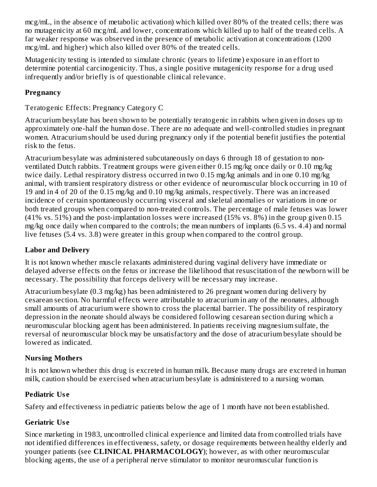mcg/mL, in the absence of metabolic activation) which killed over 80% of the treated cells; there was no mutagenicity at 60 mcg/mL and lower, concentrations which killed up to half of the treated cells. A far weaker response was observed in the presence of metabolic activation at concentrations (1200 mcg/mL and higher) which also killed over 80% of the treated cells.

Mutagenicity testing is intended to simulate chronic (years to lifetime) exposure in an effort to determine potential carcinogenicity. Thus, a single positive mutagenicity response for a drug used infrequently and/or briefly is of questionable clinical relevance.

## **Pregnancy**

Teratogenic Effects: Pregnancy Category C

Atracurium besylate has been shown to be potentially teratogenic in rabbits when given in doses up to approximately one-half the human dose. There are no adequate and well-controlled studies in pregnant women. Atracurium should be used during pregnancy only if the potential benefit justifies the potential risk to the fetus.

Atracurium besylate was administered subcutaneously on days 6 through 18 of gestation to nonventilated Dutch rabbits. Treatment groups were given either 0.15 mg/kg once daily or 0.10 mg/kg twice daily. Lethal respiratory distress occurred in two 0.15 mg/kg animals and in one 0.10 mg/kg animal, with transient respiratory distress or other evidence of neuromuscular block occurring in 10 of 19 and in 4 of 20 of the 0.15 mg/kg and 0.10 mg/kg animals, respectively. There was an increased incidence of certain spontaneously occurring visceral and skeletal anomalies or variations in one or both treated groups when compared to non-treated controls. The percentage of male fetuses was lower (41% vs. 51%) and the post-implantation losses were increased (15% vs. 8%) in the group given 0.15 mg/kg once daily when compared to the controls; the mean numbers of implants (6.5 vs. 4.4) and normal live fetuses (5.4 vs. 3.8) were greater in this group when compared to the control group.

### **Labor and Delivery**

It is not known whether muscle relaxants administered during vaginal delivery have immediate or delayed adverse effects on the fetus or increase the likelihood that resuscitation of the newborn will be necessary. The possibility that forceps delivery will be necessary may increase.

Atracurium besylate (0.3 mg/kg) has been administered to 26 pregnant women during delivery by cesarean section. No harmful effects were attributable to atracurium in any of the neonates, although small amounts of atracurium were shown to cross the placental barrier. The possibility of respiratory depression in the neonate should always be considered following cesarean section during which a neuromuscular blocking agent has been administered. In patients receiving magnesium sulfate, the reversal of neuromuscular block may be unsatisfactory and the dose of atracurium besylate should be lowered as indicated.

### **Nursing Mothers**

It is not known whether this drug is excreted in human milk. Because many drugs are excreted in human milk, caution should be exercised when atracurium besylate is administered to a nursing woman.

### **Pediatric Us e**

Safety and effectiveness in pediatric patients below the age of 1 month have not been established.

# **Geriatric Us e**

Since marketing in 1983, uncontrolled clinical experience and limited data from controlled trials have not identified differences in effectiveness, safety, or dosage requirements between healthy elderly and younger patients (see **CLINICAL PHARMACOLOGY**); however, as with other neuromuscular blocking agents, the use of a peripheral nerve stimulator to monitor neuromuscular function is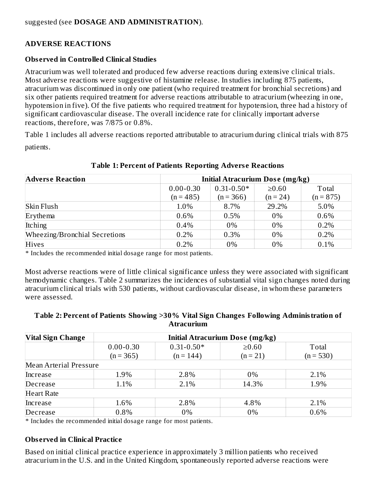## **ADVERSE REACTIONS**

### **Obs erved in Controlled Clinical Studies**

Atracurium was well tolerated and produced few adverse reactions during extensive clinical trials. Most adverse reactions were suggestive of histamine release. In studies including 875 patients, atracurium was discontinued in only one patient (who required treatment for bronchial secretions) and six other patients required treatment for adverse reactions attributable to atracurium (wheezing in one, hypotension in five). Of the five patients who required treatment for hypotension, three had a history of significant cardiovascular disease. The overall incidence rate for clinically important adverse reactions, therefore, was 7/875 or 0.8%.

Table 1 includes all adverse reactions reported attributable to atracurium during clinical trials with 875 patients.

| <b>Adverse Reaction</b>       | <b>Initial Atracurium Dose (mg/kg)</b> |                |             |             |  |  |  |
|-------------------------------|----------------------------------------|----------------|-------------|-------------|--|--|--|
|                               | $0.00 - 0.30$                          | $0.31 - 0.50*$ | $\geq 0.60$ | Total       |  |  |  |
|                               | $(n = 485)$                            | $(n = 366)$    | $(n = 24)$  | $(n = 875)$ |  |  |  |
| Skin Flush                    | 1.0%                                   | 8.7%           | 29.2%       | 5.0%        |  |  |  |
| Erythema                      | 0.6%                                   | 0.5%           | $0\%$       | 0.6%        |  |  |  |
| Itching                       | 0.4%                                   | $0\%$          | 0%          | 0.2%        |  |  |  |
| Wheezing/Bronchial Secretions | 0.2%                                   | 0.3%           | 0%          | 0.2%        |  |  |  |
| <b>Hives</b>                  | 0.2%                                   | 0%             | $0\%$       | 0.1%        |  |  |  |

#### **Table 1: Percent of Patients Reporting Advers e Reactions**

\* Includes the recommended initial dosage range for most patients.

Most adverse reactions were of little clinical significance unless they were associated with significant hemodynamic changes. Table 2 summarizes the incidences of substantial vital sign changes noted during atracurium clinical trials with 530 patients, without cardiovascular disease, in whom these parameters were assessed.

| Table 2: Percent of Patients Showing >30% Vital Sign Changes Following Administration of |                   |  |
|------------------------------------------------------------------------------------------|-------------------|--|
|                                                                                          | <b>Atracurium</b> |  |

| <b>Vital Sign Change</b> | <b>Initial Atracurium Dose (mg/kg)</b> |                |             |             |  |  |  |  |
|--------------------------|----------------------------------------|----------------|-------------|-------------|--|--|--|--|
|                          | $0.00 - 0.30$                          | $0.31 - 0.50*$ | $\geq 0.60$ | Total       |  |  |  |  |
|                          | $(n = 365)$                            | $(n = 144)$    | $(n = 21)$  | $(n = 530)$ |  |  |  |  |
| Mean Arterial Pressure   |                                        |                |             |             |  |  |  |  |
| Increase                 | 1.9%                                   | 2.8%           | 0%          | 2.1%        |  |  |  |  |
| Decrease                 | 1.1%                                   | 2.1%           | 14.3%       | 1.9%        |  |  |  |  |
| <b>Heart Rate</b>        |                                        |                |             |             |  |  |  |  |
| Increase                 | 1.6%                                   | 2.8%           | 4.8%        | 2.1%        |  |  |  |  |
| Decrease                 | 0.8%                                   | $0\%$          | 0%          | 0.6%        |  |  |  |  |

\* Includes the recommended initial dosage range for most patients.

### **Obs erved in Clinical Practice**

Based on initial clinical practice experience in approximately 3 million patients who received atracurium in the U.S. and in the United Kingdom, spontaneously reported adverse reactions were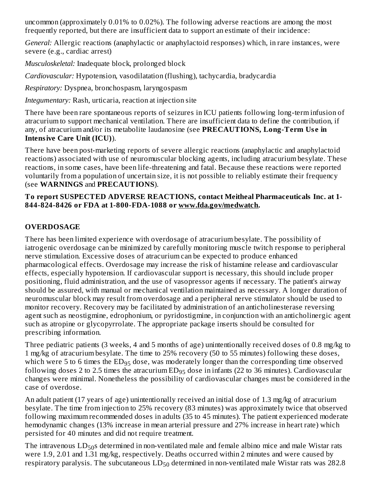uncommon (approximately 0.01% to 0.02%). The following adverse reactions are among the most frequently reported, but there are insufficient data to support an estimate of their incidence:

*General:* Allergic reactions (anaphylactic or anaphylactoid responses) which, in rare instances, were severe (e.g., cardiac arrest)

*Musculoskeletal:* Inadequate block, prolonged block

*Cardiovascular:* Hypotension, vasodilatation (flushing), tachycardia, bradycardia

*Respiratory:* Dyspnea, bronchospasm, laryngospasm

*Integumentary:* Rash, urticaria, reaction at injection site

There have been rare spontaneous reports of seizures in ICU patients following long-term infusion of atracurium to support mechanical ventilation. There are insufficient data to define the contribution, if any, of atracurium and/or its metabolite laudanosine (see **PRECAUTIONS, Long-Term Us e in Intensive Care Unit (ICU)**).

There have been post-marketing reports of severe allergic reactions (anaphylactic and anaphylactoid reactions) associated with use of neuromuscular blocking agents, including atracurium besylate. These reactions, in some cases, have been life-threatening and fatal. Because these reactions were reported voluntarily from a population of uncertain size, it is not possible to reliably estimate their frequency (see **WARNINGS** and **PRECAUTIONS**).

#### **To report SUSPECTED ADVERSE REACTIONS, contact Meitheal Pharmaceuticals Inc. at 1- 844-824-8426 or FDA at 1-800-FDA-1088 or www.fda.gov/medwatch.**

# **OVERDOSAGE**

There has been limited experience with overdosage of atracurium besylate. The possibility of iatrogenic overdosage can be minimized by carefully monitoring muscle twitch response to peripheral nerve stimulation. Excessive doses of atracurium can be expected to produce enhanced pharmacological effects. Overdosage may increase the risk of histamine release and cardiovascular effects, especially hypotension. If cardiovascular support is necessary, this should include proper positioning, fluid administration, and the use of vasopressor agents if necessary. The patient's airway should be assured, with manual or mechanical ventilation maintained as necessary. A longer duration of neuromuscular block may result from overdosage and a peripheral nerve stimulator should be used to monitor recovery. Recovery may be facilitated by administration of an anticholinesterase reversing agent such as neostigmine, edrophonium, or pyridostigmine, in conjunction with an anticholinergic agent such as atropine or glycopyrrolate. The appropriate package inserts should be consulted for prescribing information.

Three pediatric patients (3 weeks, 4 and 5 months of age) unintentionally received doses of 0.8 mg/kg to 1 mg/kg of atracurium besylate. The time to 25% recovery (50 to 55 minutes) following these doses, which were 5 to 6 times the  $ED_{95}$  dose, was moderately longer than the corresponding time observed following doses 2 to 2.5 times the atracurium  $ED_{95}$  dose in infants (22 to 36 minutes). Cardiovascular changes were minimal. Nonetheless the possibility of cardiovascular changes must be considered in the case of overdose.

An adult patient (17 years of age) unintentionally received an initial dose of 1.3 mg/kg of atracurium besylate. The time from injection to 25% recovery (83 minutes) was approximately twice that observed following maximum recommended doses in adults (35 to 45 minutes). The patient experienced moderate hemodynamic changes (13% increase in mean arterial pressure and 27% increase in heart rate) which persisted for 40 minutes and did not require treatment.

The intravenous  $\mathrm{LD}_{50}$ s determined in non-ventilated male and female albino mice and male Wistar rats were 1.9, 2.01 and 1.31 mg/kg, respectively. Deaths occurred within 2 minutes and were caused by respiratory paralysis. The subcutaneous  $\mathrm{LD}_{50}$  determined in non-ventilated male Wistar rats was 282.8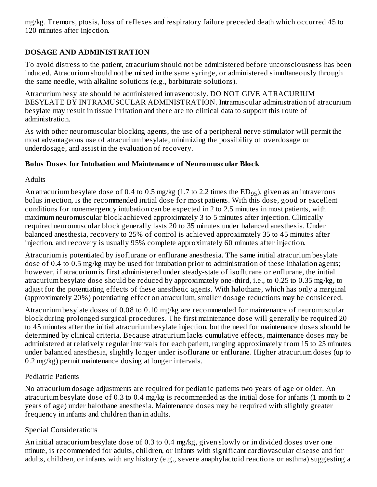mg/kg. Tremors, ptosis, loss of reflexes and respiratory failure preceded death which occurred 45 to 120 minutes after injection.  $\overline{a}$ 

## **DOSAGE AND ADMINISTRATION**

To avoid distress to the patient, atracurium should not be administered before unconsciousness has been induced. Atracurium should not be mixed in the same syringe, or administered simultaneously through the same needle, with alkaline solutions (e.g., barbiturate solutions).

Atracurium besylate should be administered intravenously. DO NOT GIVE ATRACURIUM BESYLATE BY INTRAMUSCULAR ADMINISTRATION. Intramuscular administration of atracurium besylate may result in tissue irritation and there are no clinical data to support this route of administration.

As with other neuromuscular blocking agents, the use of a peripheral nerve stimulator will permit the most advantageous use of atracurium besylate, minimizing the possibility of overdosage or underdosage, and assist in the evaluation of recovery.

### **Bolus Dos es for Intubation and Maintenance of Neuromus cular Block**

**Adults** 

An atracurium besylate dose of 0.4 to 0.5 mg/kg (1.7 to 2.2 times the  $\mathrm{ED_{95}}$ ), given as an intravenous bolus injection, is the recommended initial dose for most patients. With this dose, good or excellent conditions for nonemergency intubation can be expected in 2 to 2.5 minutes in most patients, with maximum neuromuscular block achieved approximately 3 to 5 minutes after injection. Clinically required neuromuscular block generally lasts 20 to 35 minutes under balanced anesthesia. Under balanced anesthesia, recovery to 25% of control is achieved approximately 35 to 45 minutes after injection, and recovery is usually 95% complete approximately 60 minutes after injection.

Atracurium is potentiated by isoflurane or enflurane anesthesia. The same initial atracurium besylate dose of 0.4 to 0.5 mg/kg may be used for intubation prior to administration of these inhalation agents; however, if atracurium is first administered under steady-state of isoflurane or enflurane, the initial atracurium besylate dose should be reduced by approximately one-third, i.e., to 0.25 to 0.35 mg/kg, to adjust for the potentiating effects of these anesthetic agents. With halothane, which has only a marginal (approximately 20%) potentiating effect on atracurium, smaller dosage reductions may be considered.

Atracurium besylate doses of 0.08 to 0.10 mg/kg are recommended for maintenance of neuromuscular block during prolonged surgical procedures. The first maintenance dose will generally be required 20 to 45 minutes after the initial atracurium besylate injection, but the need for maintenance doses should be determined by clinical criteria. Because atracurium lacks cumulative effects, maintenance doses may be administered at relatively regular intervals for each patient, ranging approximately from 15 to 25 minutes under balanced anesthesia, slightly longer under isoflurane or enflurane. Higher atracurium doses (up to 0.2 mg/kg) permit maintenance dosing at longer intervals.

### Pediatric Patients

No atracurium dosage adjustments are required for pediatric patients two years of age or older. An atracurium besylate dose of 0.3 to 0.4 mg/kg is recommended as the initial dose for infants (1 month to 2 years of age) under halothane anesthesia. Maintenance doses may be required with slightly greater frequency in infants and children than in adults.

# Special Considerations

An initial atracurium besylate dose of 0.3 to 0.4 mg/kg, given slowly or in divided doses over one minute, is recommended for adults, children, or infants with significant cardiovascular disease and for adults, children, or infants with any history (e.g., severe anaphylactoid reactions or asthma) suggesting a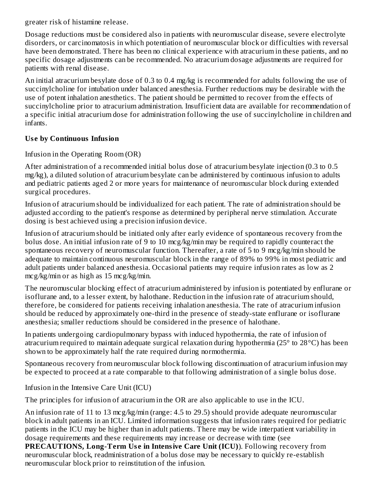greater risk of histamine release.

Dosage reductions must be considered also in patients with neuromuscular disease, severe electrolyte disorders, or carcinomatosis in which potentiation of neuromuscular block or difficulties with reversal have been demonstrated. There has been no clinical experience with atracurium in these patients, and no specific dosage adjustments can be recommended. No atracurium dosage adjustments are required for patients with renal disease.

An initial atracurium besylate dose of 0.3 to 0.4 mg/kg is recommended for adults following the use of succinylcholine for intubation under balanced anesthesia. Further reductions may be desirable with the use of potent inhalation anesthetics. The patient should be permitted to recover from the effects of succinylcholine prior to atracurium administration. Insufficient data are available for recommendation of a specific initial atracurium dose for administration following the use of succinylcholine in children and infants.

### **Us e by Continuous Infusion**

### Infusion in the Operating Room (OR)

After administration of a recommended initial bolus dose of atracurium besylate injection (0.3 to 0.5 mg/kg), a diluted solution of atracurium besylate can be administered by continuous infusion to adults and pediatric patients aged 2 or more years for maintenance of neuromuscular block during extended surgical procedures.

Infusion of atracurium should be individualized for each patient. The rate of administration should be adjusted according to the patient's response as determined by peripheral nerve stimulation. Accurate dosing is best achieved using a precision infusion device.

Infusion of atracurium should be initiated only after early evidence of spontaneous recovery from the bolus dose. An initial infusion rate of 9 to 10 mcg/kg/min may be required to rapidly counteract the spontaneous recovery of neuromuscular function. Thereafter, a rate of 5 to 9 mcg/kg/min should be adequate to maintain continuous neuromuscular block in the range of 89% to 99% in most pediatric and adult patients under balanced anesthesia. Occasional patients may require infusion rates as low as 2 mcg/kg/min or as high as 15 mcg/kg/min.

The neuromuscular blocking effect of atracurium administered by infusion is potentiated by enflurane or isoflurane and, to a lesser extent, by halothane. Reduction in the infusion rate of atracurium should, therefore, be considered for patients receiving inhalation anesthesia. The rate of atracurium infusion should be reduced by approximately one-third in the presence of steady-state enflurane or isoflurane anesthesia; smaller reductions should be considered in the presence of halothane.

In patients undergoing cardiopulmonary bypass with induced hypothermia, the rate of infusion of atracurium required to maintain adequate surgical relaxation during hypothermia (25° to 28°C) has been shown to be approximately half the rate required during normothermia.

Spontaneous recovery from neuromuscular block following discontinuation of atracurium infusion may be expected to proceed at a rate comparable to that following administration of a single bolus dose.

Infusion in the Intensive Care Unit (ICU)

The principles for infusion of atracurium in the OR are also applicable to use in the ICU.

An infusion rate of 11 to 13 mcg/kg/min (range: 4.5 to 29.5) should provide adequate neuromuscular block in adult patients in an ICU. Limited information suggests that infusion rates required for pediatric patients in the ICU may be higher than in adult patients. There may be wide interpatient variability in dosage requirements and these requirements may increase or decrease with time (see **PRECAUTIONS, Long-Term Us e in Intensive Care Unit (ICU)**). Following recovery from neuromuscular block, readministration of a bolus dose may be necessary to quickly re-establish neuromuscular block prior to reinstitution of the infusion.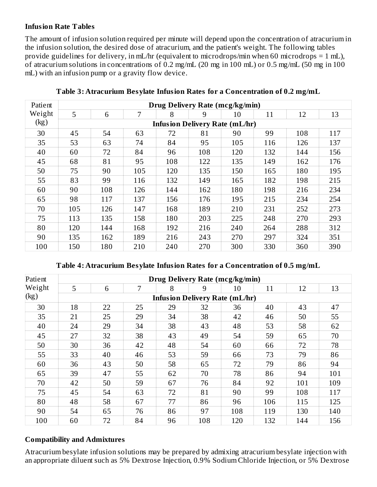#### **Infusion Rate Tables**

The amount of infusion solution required per minute will depend upon the concentration of atracurium in the infusion solution, the desired dose of atracurium, and the patient's weight. The following tables provide guidelines for delivery, in mL/hr (equivalent to microdrops/min when 60 microdrops = 1 mL), of atracurium solutions in concentrations of 0.2 mg/mL (20 mg in 100 mL) or 0.5 mg/mL (50 mg in 100 mL) with an infusion pump or a gravity flow device.

| Patient |     | Drug Delivery Rate (mcg/kg/min) |     |     |                                       |     |     |     |     |
|---------|-----|---------------------------------|-----|-----|---------------------------------------|-----|-----|-----|-----|
| Weight  | 5   | 6                               | 7   | 8   | 9                                     | 10  | 11  | 12  | 13  |
| (kg)    |     |                                 |     |     | <b>Infusion Delivery Rate (mL/hr)</b> |     |     |     |     |
| 30      | 45  | 54                              | 63  | 72  | 81                                    | 90  | 99  | 108 | 117 |
| 35      | 53  | 63                              | 74  | 84  | 95                                    | 105 | 116 | 126 | 137 |
| 40      | 60  | 72                              | 84  | 96  | 108                                   | 120 | 132 | 144 | 156 |
| 45      | 68  | 81                              | 95  | 108 | 122                                   | 135 | 149 | 162 | 176 |
| 50      | 75  | 90                              | 105 | 120 | 135                                   | 150 | 165 | 180 | 195 |
| 55      | 83  | 99                              | 116 | 132 | 149                                   | 165 | 182 | 198 | 215 |
| 60      | 90  | 108                             | 126 | 144 | 162                                   | 180 | 198 | 216 | 234 |
| 65      | 98  | 117                             | 137 | 156 | 176                                   | 195 | 215 | 234 | 254 |
| 70      | 105 | 126                             | 147 | 168 | 189                                   | 210 | 231 | 252 | 273 |
| 75      | 113 | 135                             | 158 | 180 | 203                                   | 225 | 248 | 270 | 293 |
| 80      | 120 | 144                             | 168 | 192 | 216                                   | 240 | 264 | 288 | 312 |
| 90      | 135 | 162                             | 189 | 216 | 243                                   | 270 | 297 | 324 | 351 |
| 100     | 150 | 180                             | 210 | 240 | 270                                   | 300 | 330 | 360 | 390 |

**Table 3: Atracurium Besylate Infusion Rates for a Concentration of 0.2 mg/mL**

#### **Table 4: Atracurium Besylate Infusion Rates for a Concentration of 0.5 mg/mL**

| Patient |    | <b>Drug Delivery Rate (mcg/kg/min)</b> |    |    |     |     |     |     |     |  |
|---------|----|----------------------------------------|----|----|-----|-----|-----|-----|-----|--|
| Weight  | 5  | 6                                      | 7  | 8  | 9   | 10  | 11  | 12  | 13  |  |
| (kg)    |    | <b>Infusion Delivery Rate (mL/hr)</b>  |    |    |     |     |     |     |     |  |
| 30      | 18 | 22                                     | 25 | 29 | 32  | 36  | 40  | 43  | 47  |  |
| 35      | 21 | 25                                     | 29 | 34 | 38  | 42  | 46  | 50  | 55  |  |
| 40      | 24 | 29                                     | 34 | 38 | 43  | 48  | 53  | 58  | 62  |  |
| 45      | 27 | 32                                     | 38 | 43 | 49  | 54  | 59  | 65  | 70  |  |
| 50      | 30 | 36                                     | 42 | 48 | 54  | 60  | 66  | 72  | 78  |  |
| 55      | 33 | 40                                     | 46 | 53 | 59  | 66  | 73  | 79  | 86  |  |
| 60      | 36 | 43                                     | 50 | 58 | 65  | 72  | 79  | 86  | 94  |  |
| 65      | 39 | 47                                     | 55 | 62 | 70  | 78  | 86  | 94  | 101 |  |
| 70      | 42 | 50                                     | 59 | 67 | 76  | 84  | 92  | 101 | 109 |  |
| 75      | 45 | 54                                     | 63 | 72 | 81  | 90  | 99  | 108 | 117 |  |
| 80      | 48 | 58                                     | 67 | 77 | 86  | 96  | 106 | 115 | 125 |  |
| 90      | 54 | 65                                     | 76 | 86 | 97  | 108 | 119 | 130 | 140 |  |
| 100     | 60 | 72                                     | 84 | 96 | 108 | 120 | 132 | 144 | 156 |  |

#### **Compatibility and Admixtures**

Atracurium besylate infusion solutions may be prepared by admixing atracurium besylate injection with an appropriate diluent such as 5% Dextrose Injection, 0.9% Sodium Chloride Injection, or 5% Dextrose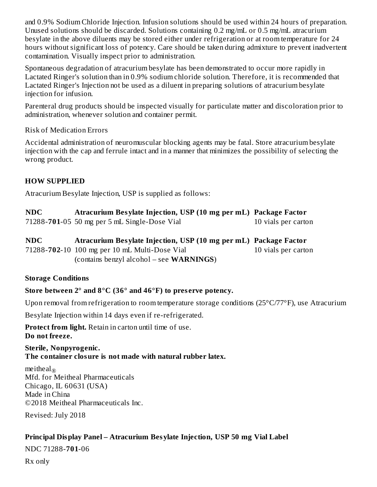and 0.9% Sodium Chloride Injection. Infusion solutions should be used within 24 hours of preparation. Unused solutions should be discarded. Solutions containing 0.2 mg/mL or 0.5 mg/mL atracurium besylate in the above diluents may be stored either under refrigeration or at room temperature for 24 hours without significant loss of potency. Care should be taken during admixture to prevent inadvertent contamination. Visually inspect prior to administration.

Spontaneous degradation of atracurium besylate has been demonstrated to occur more rapidly in Lactated Ringer's solution than in 0.9% sodium chloride solution. Therefore, it is recommended that Lactated Ringer's Injection not be used as a diluent in preparing solutions of atracurium besylate injection for infusion.

Parenteral drug products should be inspected visually for particulate matter and discoloration prior to administration, whenever solution and container permit.

Risk of Medication Errors

Accidental administration of neuromuscular blocking agents may be fatal. Store atracurium besylate injection with the cap and ferrule intact and in a manner that minimizes the possibility of selecting the wrong product.

### **HOW SUPPLIED**

Atracurium Besylate Injection, USP is supplied as follows:

| <b>NDC</b> | Atracurium Besylate Injection, USP (10 mg per mL) Package Factor |                     |
|------------|------------------------------------------------------------------|---------------------|
|            | 71288-701-05 50 mg per 5 mL Single-Dose Vial                     | 10 vials per carton |

| <b>NDC</b> | Atracurium Besylate Injection, USP (10 mg per mL) Package Factor |                     |
|------------|------------------------------------------------------------------|---------------------|
|            | 71288-702-10 100 mg per 10 mL Multi-Dose Vial                    | 10 vials per carton |
|            | (contains benzyl alcohol – see <b>WARNINGS</b> )                 |                     |

#### **Storage Conditions**

#### **Store between 2° and 8°C (36° and 46°F) to pres erve potency.**

Upon removal from refrigeration to room temperature storage conditions (25°C/77°F), use Atracurium

Besylate Injection within 14 days even if re-refrigerated.

**Protect from light.** Retain in carton until time of use. **Do not freeze.**

#### **Sterile, Nonpyrogenic. The container closure is not made with natural rubber latex.**

meitheal $_\circledR$ Mfd. for Meitheal Pharmaceuticals Chicago, IL 60631 (USA) Made in China ©2018 Meitheal Pharmaceuticals Inc.

Revised: July 2018

#### **Principal Display Panel – Atracurium Besylate Injection, USP 50 mg Vial Label**

NDC 71288-**701**-06

Rx only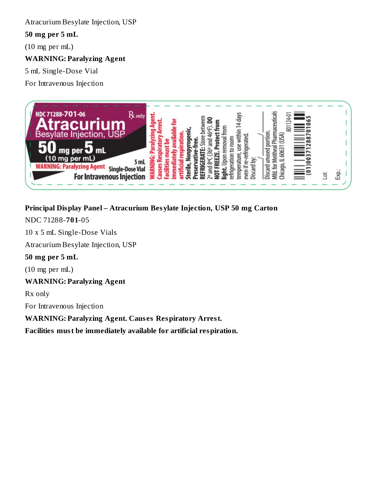Atracurium Besylate Injection, USP

**50 mg per 5 mL**

(10 mg per mL)

# **WARNING: Paralyzing Agent**

5 mL Single-Dose Vial

For Intravenous Injection



# **Principal Display Panel – Atracurium Besylate Injection, USP 50 mg Carton**

NDC 71288-**701**-05

10 x 5 mL Single-Dose Vials

Atracurium Besylate Injection, USP

### **50 mg per 5 mL**

(10 mg per mL)

## **WARNING: Paralyzing Agent**

Rx only

For Intravenous Injection

### **WARNING: Paralyzing Agent. Caus es Respiratory Arrest.**

**Facilities must be immediately available for artificial respiration.**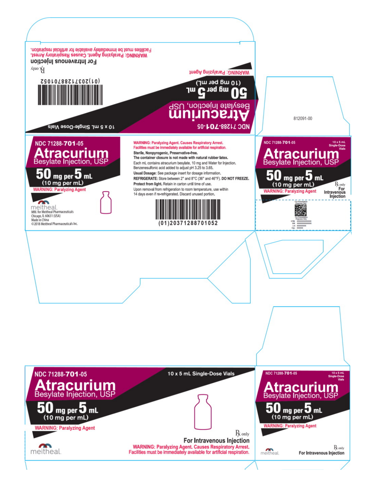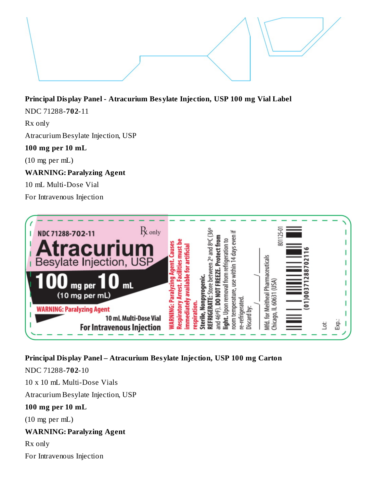

#### **Principal Display Panel - Atracurium Besylate Injection, USP 100 mg Vial Label**

NDC 71288-**702**-11

Rx only

Atracurium Besylate Injection, USP

#### **100 mg per 10 mL**

(10 mg per mL)

**WARNING: Paralyzing Agent**

10 mL Multi-Dose Vial

For Intravenous Injection



## **Principal Display Panel – Atracurium Besylate Injection, USP 100 mg Carton**

NDC 71288-**702**-10

10 x 10 mL Multi-Dose Vials

Atracurium Besylate Injection, USP

### **100 mg per 10 mL**

(10 mg per mL)

### **WARNING: Paralyzing Agent**

Rx only

For Intravenous Injection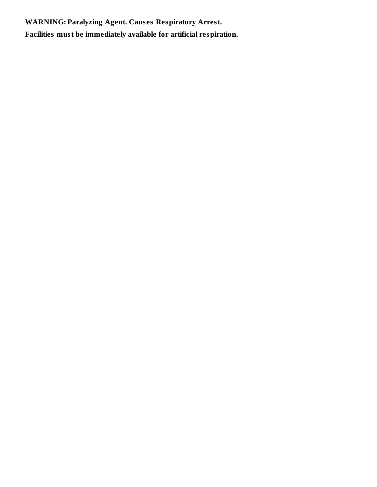**WARNING: Paralyzing Agent. Caus es Respiratory Arrest. Facilities must be immediately available for artificial respiration.**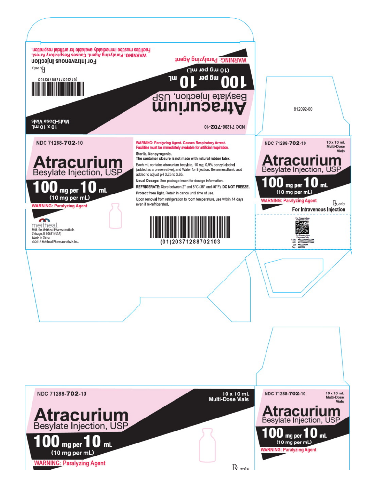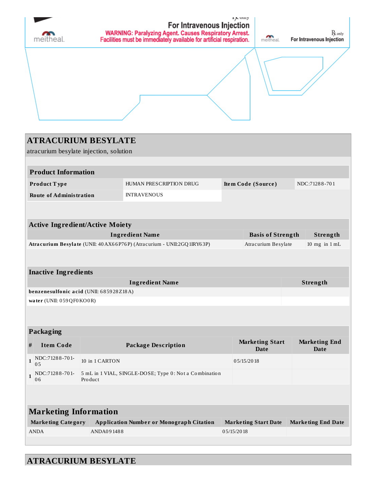